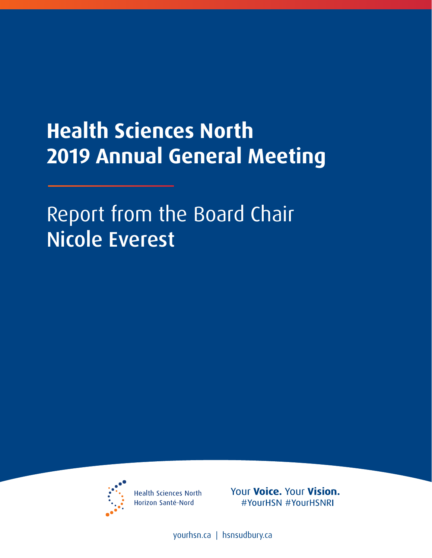## **Health Sciences North 2019 Annual General Meeting**

Report from the Board Chair Nicole Everest



**Health Sciences North** Horizon Santé-Nord

Your Voice. Your Vision. #YourHSN #YourHSNRI

[yourhsn.ca](www.yourhsn.ca) | [hsnsudbury.ca](www.hsnsudbury.ca)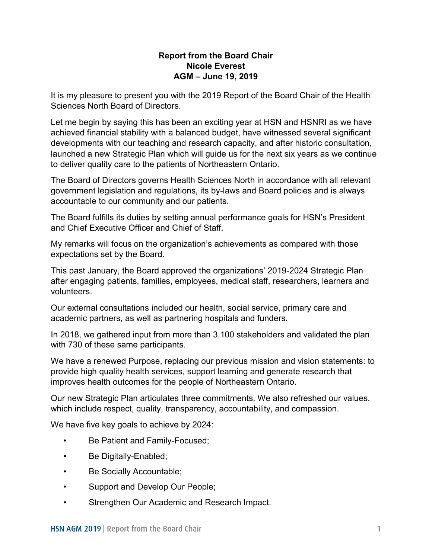## **AGM – June 19, 2019 Report from the Board Chair Nicole Everest**

It is my pleasure to present you with the 2019 Report of the Board Chair of the Health Sciences North Board of Directors.

Let me begin by saying this has been an exciting year at HSN and HSNRI as we have achieved financial stability with a balanced budget, have witnessed several significant developments with our teaching and research capacity, and after historic consultation, launched a new Strategic Plan which will guide us for the next six years as we continue to deliver quality care to the patients of Northeastern Ontario.

accountable to our community and our patients. The Board of Directors governs Health Sciences North in accordance with all relevant government legislation and regulations, its by-laws and Board policies and is always

 and Chief Executive Officer and Chief of Staff. The Board fulfills its duties by setting annual performance goals for HSN's President

 My remarks will focus on the organization's achievements as compared with those expectations set by the Board.

This past January, the Board approved the organizations' 2019-2024 Strategic Plan after engaging patients, families, employees, medical staff, researchers, learners and volunteers.

 academic partners, as well as partnering hospitals and funders. Our external consultations included our health, social service, primary care and

 In 2018, we gathered input from more than 3,100 stakeholders and validated the plan with 730 of these same participants.

We have a renewed Purpose, replacing our previous mission and vision statements: to provide high quality health services, support learning and generate research that improves health outcomes for the people of Northeastern Ontario.

Our new Strategic Plan articulates three commitments. We also refreshed our values, which include respect, quality, transparency, accountability, and compassion.

We have five key goals to achieve by 2024:

- Be Patient and Family-Focused;
- Be Digitally-Enabled;
- Be Socially Accountable;
- Support and Develop Our People;
- Support and Develop Our People;<br>• Strengthen Our Academic and Research Impact.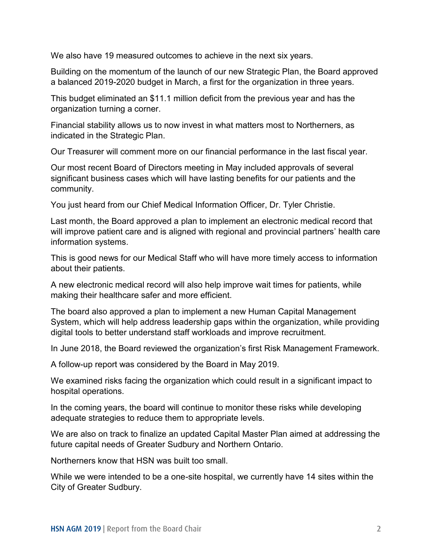We also have 19 measured outcomes to achieve in the next six years.

 a balanced 2019-2020 budget in March, a first for the organization in three years. Building on the momentum of the launch of our new Strategic Plan, the Board approved

 This budget eliminated an \$11.1 million deficit from the previous year and has the organization turning a corner.

Financial stability allows us to now invest in what matters most to Northerners, as indicated in the Strategic Plan.

Our Treasurer will comment more on our financial performance in the last fiscal year.

 significant business cases which will have lasting benefits for our patients and the Our most recent Board of Directors meeting in May included approvals of several community.

You just heard from our Chief Medical Information Officer, Dr. Tyler Christie.

Last month, the Board approved a plan to implement an electronic medical record that will improve patient care and is aligned with regional and provincial partners' health care information systems.

This is good news for our Medical Staff who will have more timely access to information about their patients.

making their healthcare safer and more efficient. A new electronic medical record will also help improve wait times for patients, while

digital tools to better understand staff workloads and improve recruitment. The board also approved a plan to implement a new Human Capital Management System, which will help address leadership gaps within the organization, while providing

digital tools to better understand staff workloads and improve recruitment.<br>In June 2018, the Board reviewed the organization's first Risk Management Framework.

A follow-up report was considered by the Board in May 2019.

We examined risks facing the organization which could result in a significant impact to hospital operations.

In the coming years, the board will continue to monitor these risks while developing adequate strategies to reduce them to appropriate levels.

future capital needs of Greater Sudbury and Northern Ontario.<br>Northerners know that HSN was built too small. We are also on track to finalize an updated Capital Master Plan aimed at addressing the

While we were intended to be a one-site hospital, we currently have 14 sites within the City of Greater Sudbury.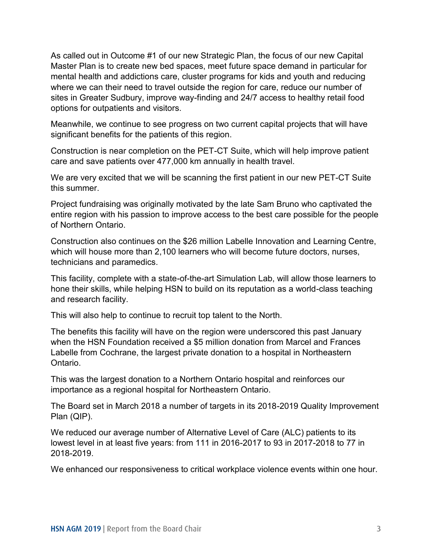As called out in Outcome #1 of our new Strategic Plan, the focus of our new Capital where we can their need to travel outside the region for care, reduce our number of sites in Greater Sudbury, improve way-finding and 24/7 access to healthy retail food Master Plan is to create new bed spaces, meet future space demand in particular for mental health and addictions care, cluster programs for kids and youth and reducing options for outpatients and visitors.

Meanwhile, we continue to see progress on two current capital projects that will have significant benefits for the patients of this region.

 Construction is near completion on the PET-CT Suite, which will help improve patient care and save patients over 477,000 km annually in health travel.

 We are very excited that we will be scanning the first patient in our new PET-CT Suite this summer.

 Project fundraising was originally motivated by the late Sam Bruno who captivated the entire region with his passion to improve access to the best care possible for the people of Northern Ontario.

 Construction also continues on the \$26 million Labelle Innovation and Learning Centre, which will house more than 2,100 learners who will become future doctors, nurses, technicians and paramedics.

 and research facility. This facility, complete with a state-of-the-art Simulation Lab, will allow those learners to hone their skills, while helping HSN to build on its reputation as a world-class teaching

This will also help to continue to recruit top talent to the North.

 when the HSN Foundation received a \$5 million donation from Marcel and Frances The benefits this facility will have on the region were underscored this past January Labelle from Cochrane, the largest private donation to a hospital in Northeastern Ontario.

 This was the largest donation to a Northern Ontario hospital and reinforces our importance as a regional hospital for Northeastern Ontario.

The Board set in March 2018 a number of targets in its 2018-2019 Quality Improvement Plan (QIP).

We reduced our average number of Alternative Level of Care (ALC) patients to its lowest level in at least five years: from 111 in 2016-2017 to 93 in 2017-2018 to 77 in 2018-2019.

We enhanced our responsiveness to critical workplace violence events within one hour.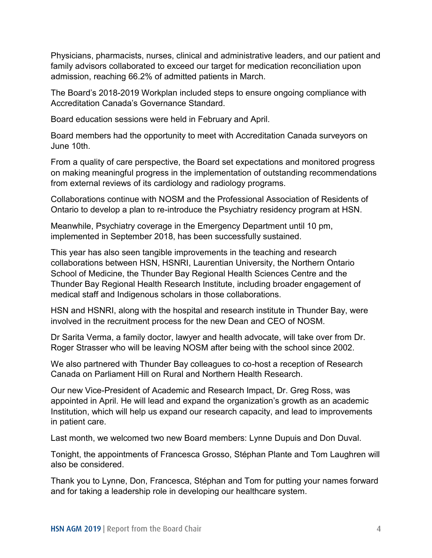family advisors collaborated to exceed our target for medication reconciliation upon Physicians, pharmacists, nurses, clinical and administrative leaders, and our patient and admission, reaching 66.2% of admitted patients in March.

The Board's 2018-2019 Workplan included steps to ensure ongoing compliance with Accreditation Canada's Governance Standard.

Board education sessions were held in February and April.

 June 10th. Board members had the opportunity to meet with Accreditation Canada surveyors on

 on making meaningful progress in the implementation of outstanding recommendations From a quality of care perspective, the Board set expectations and monitored progress from external reviews of its cardiology and radiology programs.

 Collaborations continue with NOSM and the Professional Association of Residents of Ontario to develop a plan to re-introduce the Psychiatry residency program at HSN.

implemented in September 2018, has been successfully sustained. Meanwhile, Psychiatry coverage in the Emergency Department until 10 pm,

This year has also seen tangible improvements in the teaching and research collaborations between HSN, HSNRI, Laurentian University, the Northern Ontario School of Medicine, the Thunder Bay Regional Health Sciences Centre and the Thunder Bay Regional Health Research Institute, including broader engagement of medical staff and Indigenous scholars in those collaborations.

 HSN and HSNRI, along with the hospital and research institute in Thunder Bay, were involved in the recruitment process for the new Dean and CEO of NOSM.

 Roger Strasser who will be leaving NOSM after being with the school since 2002. Dr Sarita Verma, a family doctor, lawyer and health advocate, will take over from Dr.

Canada on Parliament Hill on Rural and Northern Health Research. We also partnered with Thunder Bay colleagues to co-host a reception of Research

Our new Vice-President of Academic and Research Impact, Dr. Greg Ross, was appointed in April. He will lead and expand the organization's growth as an academic Institution, which will help us expand our research capacity, and lead to improvements in patient care.

Last month, we welcomed two new Board members: Lynne Dupuis and Don Duval.

 Tonight, the appointments of Francesca Grosso, Stéphan Plante and Tom Laughren will also be considered.

 Thank you to Lynne, Don, Francesca, Stéphan and Tom for putting your names forward and for taking a leadership role in developing our healthcare system.